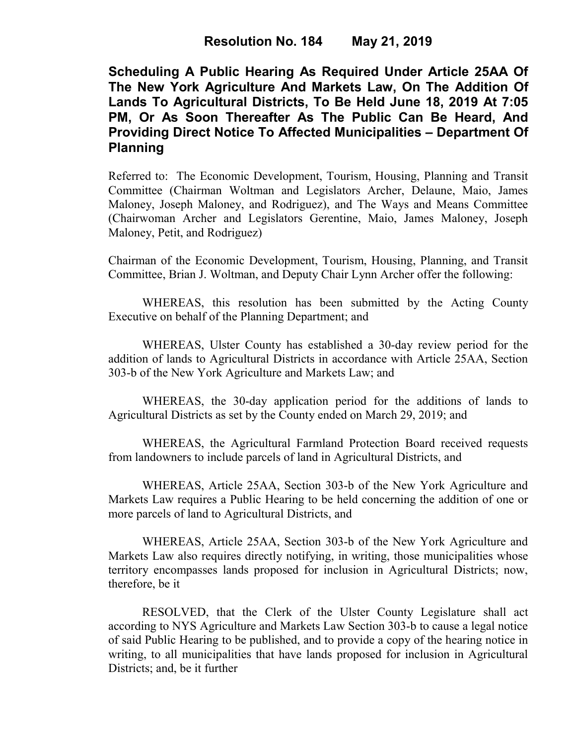**Scheduling A Public Hearing As Required Under Article 25AA Of The New York Agriculture And Markets Law, On The Addition Of Lands To Agricultural Districts, To Be Held June 18, 2019 At 7:05 PM, Or As Soon Thereafter As The Public Can Be Heard, And Providing Direct Notice To Affected Municipalities – Department Of Planning**

Referred to: The Economic Development, Tourism, Housing, Planning and Transit Committee (Chairman Woltman and Legislators Archer, Delaune, Maio, James Maloney, Joseph Maloney, and Rodriguez), and The Ways and Means Committee (Chairwoman Archer and Legislators Gerentine, Maio, James Maloney, Joseph Maloney, Petit, and Rodriguez)

Chairman of the Economic Development, Tourism, Housing, Planning, and Transit Committee, Brian J. Woltman, and Deputy Chair Lynn Archer offer the following:

WHEREAS, this resolution has been submitted by the Acting County Executive on behalf of the Planning Department; and

WHEREAS, Ulster County has established a 30-day review period for the addition of lands to Agricultural Districts in accordance with Article 25AA, Section 303-b of the New York Agriculture and Markets Law; and

WHEREAS, the 30-day application period for the additions of lands to Agricultural Districts as set by the County ended on March 29, 2019; and

WHEREAS, the Agricultural Farmland Protection Board received requests from landowners to include parcels of land in Agricultural Districts, and

WHEREAS, Article 25AA, Section 303-b of the New York Agriculture and Markets Law requires a Public Hearing to be held concerning the addition of one or more parcels of land to Agricultural Districts, and

WHEREAS, Article 25AA, Section 303-b of the New York Agriculture and Markets Law also requires directly notifying, in writing, those municipalities whose territory encompasses lands proposed for inclusion in Agricultural Districts; now, therefore, be it

RESOLVED, that the Clerk of the Ulster County Legislature shall act according to NYS Agriculture and Markets Law Section 303-b to cause a legal notice of said Public Hearing to be published, and to provide a copy of the hearing notice in writing, to all municipalities that have lands proposed for inclusion in Agricultural Districts; and, be it further